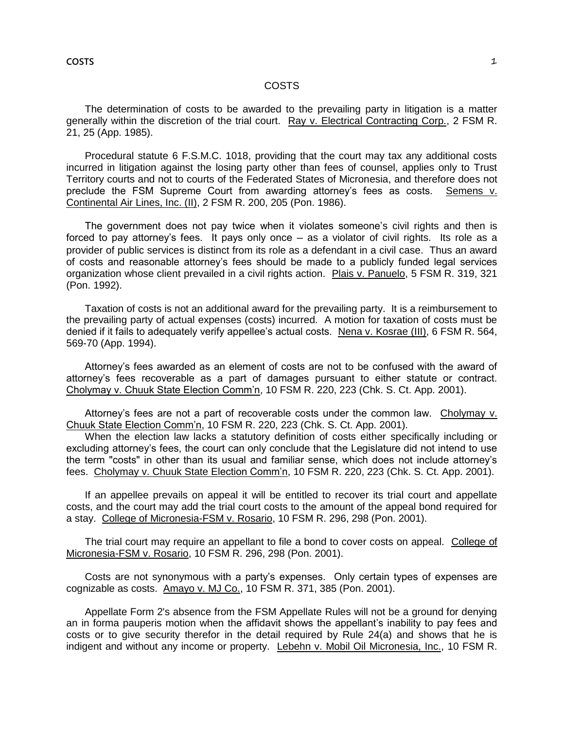# COSTS

The determination of costs to be awarded to the prevailing party in litigation is a matter generally within the discretion of the trial court. Ray v. Electrical Contracting Corp., 2 FSM R. 21, 25 (App. 1985).

Procedural statute 6 F.S.M.C. 1018, providing that the court may tax any additional costs incurred in litigation against the losing party other than fees of counsel, applies only to Trust Territory courts and not to courts of the Federated States of Micronesia, and therefore does not preclude the FSM Supreme Court from awarding attorney's fees as costs. Semens v. Continental Air Lines, Inc. (II), 2 FSM R. 200, 205 (Pon. 1986).

The government does not pay twice when it violates someone's civil rights and then is forced to pay attorney's fees. It pays only once – as a violator of civil rights. Its role as a provider of public services is distinct from its role as a defendant in a civil case. Thus an award of costs and reasonable attorney's fees should be made to a publicly funded legal services organization whose client prevailed in a civil rights action. Plais v. Panuelo, 5 FSM R. 319, 321 (Pon. 1992).

Taxation of costs is not an additional award for the prevailing party. It is a reimbursement to the prevailing party of actual expenses (costs) incurred. A motion for taxation of costs must be denied if it fails to adequately verify appellee's actual costs. Nena v. Kosrae (III), 6 FSM R. 564, 569-70 (App. 1994).

Attorney's fees awarded as an element of costs are not to be confused with the award of attorney's fees recoverable as a part of damages pursuant to either statute or contract. Cholymay v. Chuuk State Election Comm'n, 10 FSM R. 220, 223 (Chk. S. Ct. App. 2001).

Attorney's fees are not a part of recoverable costs under the common law. Cholymay v. Chuuk State Election Comm'n, 10 FSM R. 220, 223 (Chk. S. Ct. App. 2001).

When the election law lacks a statutory definition of costs either specifically including or excluding attorney's fees, the court can only conclude that the Legislature did not intend to use the term "costs" in other than its usual and familiar sense, which does not include attorney's fees. Cholymay v. Chuuk State Election Comm'n, 10 FSM R. 220, 223 (Chk. S. Ct. App. 2001).

If an appellee prevails on appeal it will be entitled to recover its trial court and appellate costs, and the court may add the trial court costs to the amount of the appeal bond required for a stay. College of Micronesia-FSM v. Rosario, 10 FSM R. 296, 298 (Pon. 2001).

The trial court may require an appellant to file a bond to cover costs on appeal. College of Micronesia-FSM v. Rosario, 10 FSM R. 296, 298 (Pon. 2001).

Costs are not synonymous with a party's expenses. Only certain types of expenses are cognizable as costs. Amayo v. MJ Co., 10 FSM R. 371, 385 (Pon. 2001).

Appellate Form 2's absence from the FSM Appellate Rules will not be a ground for denying an in forma pauperis motion when the affidavit shows the appellant's inability to pay fees and costs or to give security therefor in the detail required by Rule 24(a) and shows that he is indigent and without any income or property. Lebehn v. Mobil Oil Micronesia, Inc., 10 FSM R.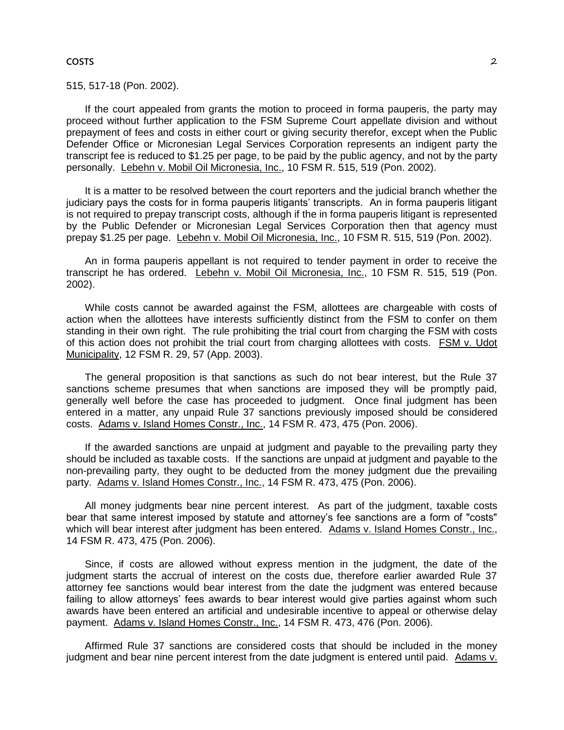#### **COSTS** 2

515, 517-18 (Pon. 2002).

If the court appealed from grants the motion to proceed in forma pauperis, the party may proceed without further application to the FSM Supreme Court appellate division and without prepayment of fees and costs in either court or giving security therefor, except when the Public Defender Office or Micronesian Legal Services Corporation represents an indigent party the transcript fee is reduced to \$1.25 per page, to be paid by the public agency, and not by the party personally. Lebehn v. Mobil Oil Micronesia, Inc., 10 FSM R. 515, 519 (Pon. 2002).

It is a matter to be resolved between the court reporters and the judicial branch whether the judiciary pays the costs for in forma pauperis litigants' transcripts. An in forma pauperis litigant is not required to prepay transcript costs, although if the in forma pauperis litigant is represented by the Public Defender or Micronesian Legal Services Corporation then that agency must prepay \$1.25 per page. Lebehn v. Mobil Oil Micronesia, Inc., 10 FSM R. 515, 519 (Pon. 2002).

An in forma pauperis appellant is not required to tender payment in order to receive the transcript he has ordered. Lebehn v. Mobil Oil Micronesia, Inc., 10 FSM R. 515, 519 (Pon. 2002).

While costs cannot be awarded against the FSM, allottees are chargeable with costs of action when the allottees have interests sufficiently distinct from the FSM to confer on them standing in their own right. The rule prohibiting the trial court from charging the FSM with costs of this action does not prohibit the trial court from charging allottees with costs. FSM v. Udot Municipality, 12 FSM R. 29, 57 (App. 2003).

The general proposition is that sanctions as such do not bear interest, but the Rule 37 sanctions scheme presumes that when sanctions are imposed they will be promptly paid, generally well before the case has proceeded to judgment. Once final judgment has been entered in a matter, any unpaid Rule 37 sanctions previously imposed should be considered costs. Adams v. Island Homes Constr., Inc., 14 FSM R. 473, 475 (Pon. 2006).

If the awarded sanctions are unpaid at judgment and payable to the prevailing party they should be included as taxable costs. If the sanctions are unpaid at judgment and payable to the non-prevailing party, they ought to be deducted from the money judgment due the prevailing party. Adams v. Island Homes Constr., Inc., 14 FSM R. 473, 475 (Pon. 2006).

All money judgments bear nine percent interest. As part of the judgment, taxable costs bear that same interest imposed by statute and attorney's fee sanctions are a form of "costs" which will bear interest after judgment has been entered. Adams v. Island Homes Constr., Inc., 14 FSM R. 473, 475 (Pon. 2006).

Since, if costs are allowed without express mention in the judgment, the date of the judgment starts the accrual of interest on the costs due, therefore earlier awarded Rule 37 attorney fee sanctions would bear interest from the date the judgment was entered because failing to allow attorneys' fees awards to bear interest would give parties against whom such awards have been entered an artificial and undesirable incentive to appeal or otherwise delay payment. Adams v. Island Homes Constr., Inc., 14 FSM R. 473, 476 (Pon. 2006).

Affirmed Rule 37 sanctions are considered costs that should be included in the money judgment and bear nine percent interest from the date judgment is entered until paid. Adams v.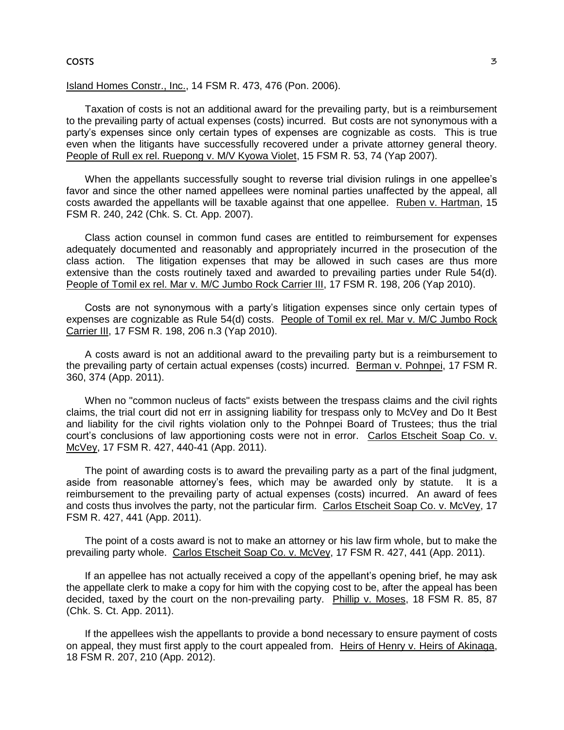#### **COSTS** 3

Island Homes Constr., Inc., 14 FSM R. 473, 476 (Pon. 2006).

Taxation of costs is not an additional award for the prevailing party, but is a reimbursement to the prevailing party of actual expenses (costs) incurred. But costs are not synonymous with a party's expenses since only certain types of expenses are cognizable as costs. This is true even when the litigants have successfully recovered under a private attorney general theory. People of Rull ex rel. Ruepong v. M/V Kyowa Violet, 15 FSM R. 53, 74 (Yap 2007).

When the appellants successfully sought to reverse trial division rulings in one appellee's favor and since the other named appellees were nominal parties unaffected by the appeal, all costs awarded the appellants will be taxable against that one appellee. Ruben v. Hartman, 15 FSM R. 240, 242 (Chk. S. Ct. App. 2007).

Class action counsel in common fund cases are entitled to reimbursement for expenses adequately documented and reasonably and appropriately incurred in the prosecution of the class action. The litigation expenses that may be allowed in such cases are thus more extensive than the costs routinely taxed and awarded to prevailing parties under Rule 54(d). People of Tomil ex rel. Mar v. M/C Jumbo Rock Carrier III, 17 FSM R. 198, 206 (Yap 2010).

Costs are not synonymous with a party's litigation expenses since only certain types of expenses are cognizable as Rule 54(d) costs. People of Tomil ex rel. Mar v. M/C Jumbo Rock Carrier III, 17 FSM R. 198, 206 n.3 (Yap 2010).

A costs award is not an additional award to the prevailing party but is a reimbursement to the prevailing party of certain actual expenses (costs) incurred. Berman v. Pohnpei, 17 FSM R. 360, 374 (App. 2011).

When no "common nucleus of facts" exists between the trespass claims and the civil rights claims, the trial court did not err in assigning liability for trespass only to McVey and Do It Best and liability for the civil rights violation only to the Pohnpei Board of Trustees; thus the trial court's conclusions of law apportioning costs were not in error. Carlos Etscheit Soap Co. v. McVey, 17 FSM R. 427, 440-41 (App. 2011).

The point of awarding costs is to award the prevailing party as a part of the final judgment, aside from reasonable attorney's fees, which may be awarded only by statute. It is a reimbursement to the prevailing party of actual expenses (costs) incurred. An award of fees and costs thus involves the party, not the particular firm. Carlos Etscheit Soap Co. v. McVey, 17 FSM R. 427, 441 (App. 2011).

The point of a costs award is not to make an attorney or his law firm whole, but to make the prevailing party whole. Carlos Etscheit Soap Co. v. McVey, 17 FSM R. 427, 441 (App. 2011).

If an appellee has not actually received a copy of the appellant's opening brief, he may ask the appellate clerk to make a copy for him with the copying cost to be, after the appeal has been decided, taxed by the court on the non-prevailing party. Phillip v. Moses, 18 FSM R. 85, 87 (Chk. S. Ct. App. 2011).

If the appellees wish the appellants to provide a bond necessary to ensure payment of costs on appeal, they must first apply to the court appealed from. Heirs of Henry v. Heirs of Akinaga, 18 FSM R. 207, 210 (App. 2012).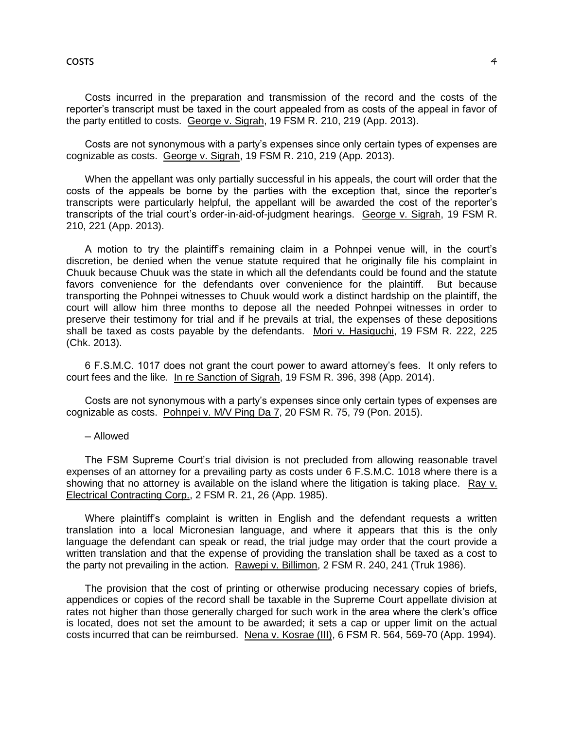Costs incurred in the preparation and transmission of the record and the costs of the reporter's transcript must be taxed in the court appealed from as costs of the appeal in favor of the party entitled to costs. George v. Sigrah, 19 FSM R. 210, 219 (App. 2013).

Costs are not synonymous with a party's expenses since only certain types of expenses are cognizable as costs. George v. Sigrah, 19 FSM R. 210, 219 (App. 2013).

When the appellant was only partially successful in his appeals, the court will order that the costs of the appeals be borne by the parties with the exception that, since the reporter's transcripts were particularly helpful, the appellant will be awarded the cost of the reporter's transcripts of the trial court's order-in-aid-of-judgment hearings. George v. Sigrah, 19 FSM R. 210, 221 (App. 2013).

A motion to try the plaintiff's remaining claim in a Pohnpei venue will, in the court's discretion, be denied when the venue statute required that he originally file his complaint in Chuuk because Chuuk was the state in which all the defendants could be found and the statute favors convenience for the defendants over convenience for the plaintiff. But because transporting the Pohnpei witnesses to Chuuk would work a distinct hardship on the plaintiff, the court will allow him three months to depose all the needed Pohnpei witnesses in order to preserve their testimony for trial and if he prevails at trial, the expenses of these depositions shall be taxed as costs payable by the defendants. Mori v. Hasiguchi, 19 FSM R. 222, 225 (Chk. 2013).

6 F.S.M.C. 1017 does not grant the court power to award attorney's fees. It only refers to court fees and the like. In re Sanction of Sigrah, 19 FSM R. 396, 398 (App. 2014).

Costs are not synonymous with a party's expenses since only certain types of expenses are cognizable as costs. Pohnpei v. M/V Ping Da 7, 20 FSM R. 75, 79 (Pon. 2015).

─ Allowed

The FSM Supreme Court's trial division is not precluded from allowing reasonable travel expenses of an attorney for a prevailing party as costs under 6 F.S.M.C. 1018 where there is a showing that no attorney is available on the island where the litigation is taking place. Ray v. Electrical Contracting Corp., 2 FSM R. 21, 26 (App. 1985).

Where plaintiff's complaint is written in English and the defendant requests a written translation into a local Micronesian language, and where it appears that this is the only language the defendant can speak or read, the trial judge may order that the court provide a written translation and that the expense of providing the translation shall be taxed as a cost to the party not prevailing in the action. Rawepi v. Billimon, 2 FSM R. 240, 241 (Truk 1986).

The provision that the cost of printing or otherwise producing necessary copies of briefs, appendices or copies of the record shall be taxable in the Supreme Court appellate division at rates not higher than those generally charged for such work in the area where the clerk's office is located, does not set the amount to be awarded; it sets a cap or upper limit on the actual costs incurred that can be reimbursed. Nena v. Kosrae (III), 6 FSM R. 564, 569-70 (App. 1994).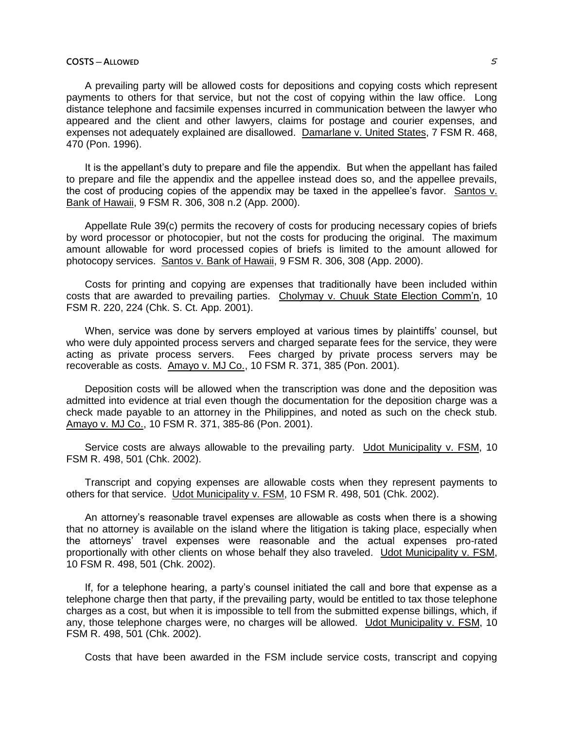# **COSTS ─ ALLOWED** 5

A prevailing party will be allowed costs for depositions and copying costs which represent payments to others for that service, but not the cost of copying within the law office. Long distance telephone and facsimile expenses incurred in communication between the lawyer who appeared and the client and other lawyers, claims for postage and courier expenses, and expenses not adequately explained are disallowed. Damarlane v. United States, 7 FSM R. 468, 470 (Pon. 1996).

It is the appellant's duty to prepare and file the appendix. But when the appellant has failed to prepare and file the appendix and the appellee instead does so, and the appellee prevails, the cost of producing copies of the appendix may be taxed in the appellee's favor. Santos v. Bank of Hawaii, 9 FSM R. 306, 308 n.2 (App. 2000).

Appellate Rule 39(c) permits the recovery of costs for producing necessary copies of briefs by word processor or photocopier, but not the costs for producing the original. The maximum amount allowable for word processed copies of briefs is limited to the amount allowed for photocopy services. Santos v. Bank of Hawaii, 9 FSM R. 306, 308 (App. 2000).

Costs for printing and copying are expenses that traditionally have been included within costs that are awarded to prevailing parties. Cholymay v. Chuuk State Election Comm'n, 10 FSM R. 220, 224 (Chk. S. Ct. App. 2001).

When, service was done by servers employed at various times by plaintiffs' counsel, but who were duly appointed process servers and charged separate fees for the service, they were acting as private process servers. Fees charged by private process servers may be recoverable as costs. Amayo v. MJ Co., 10 FSM R. 371, 385 (Pon. 2001).

Deposition costs will be allowed when the transcription was done and the deposition was admitted into evidence at trial even though the documentation for the deposition charge was a check made payable to an attorney in the Philippines, and noted as such on the check stub. Amayo v. MJ Co., 10 FSM R. 371, 385-86 (Pon. 2001).

Service costs are always allowable to the prevailing party. Udot Municipality v. FSM, 10 FSM R. 498, 501 (Chk. 2002).

Transcript and copying expenses are allowable costs when they represent payments to others for that service. Udot Municipality v. FSM, 10 FSM R. 498, 501 (Chk. 2002).

An attorney's reasonable travel expenses are allowable as costs when there is a showing that no attorney is available on the island where the litigation is taking place, especially when the attorneys' travel expenses were reasonable and the actual expenses pro-rated proportionally with other clients on whose behalf they also traveled. Udot Municipality v. FSM, 10 FSM R. 498, 501 (Chk. 2002).

If, for a telephone hearing, a party's counsel initiated the call and bore that expense as a telephone charge then that party, if the prevailing party, would be entitled to tax those telephone charges as a cost, but when it is impossible to tell from the submitted expense billings, which, if any, those telephone charges were, no charges will be allowed. Udot Municipality v. FSM, 10 FSM R. 498, 501 (Chk. 2002).

Costs that have been awarded in the FSM include service costs, transcript and copying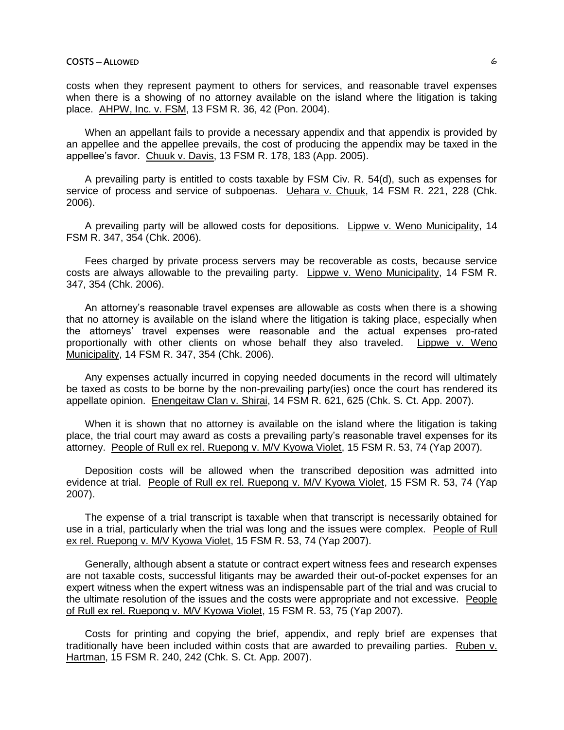costs when they represent payment to others for services, and reasonable travel expenses when there is a showing of no attorney available on the island where the litigation is taking place. AHPW, Inc. v. FSM, 13 FSM R. 36, 42 (Pon. 2004).

When an appellant fails to provide a necessary appendix and that appendix is provided by an appellee and the appellee prevails, the cost of producing the appendix may be taxed in the appellee's favor. Chuuk v. Davis, 13 FSM R. 178, 183 (App. 2005).

A prevailing party is entitled to costs taxable by FSM Civ. R. 54(d), such as expenses for service of process and service of subpoenas. Uehara v. Chuuk, 14 FSM R. 221, 228 (Chk. 2006).

A prevailing party will be allowed costs for depositions. Lippwe v. Weno Municipality, 14 FSM R. 347, 354 (Chk. 2006).

Fees charged by private process servers may be recoverable as costs, because service costs are always allowable to the prevailing party. Lippwe v. Weno Municipality, 14 FSM R. 347, 354 (Chk. 2006).

An attorney's reasonable travel expenses are allowable as costs when there is a showing that no attorney is available on the island where the litigation is taking place, especially when the attorneys' travel expenses were reasonable and the actual expenses pro-rated proportionally with other clients on whose behalf they also traveled. Lippwe v. Weno Municipality, 14 FSM R. 347, 354 (Chk. 2006).

Any expenses actually incurred in copying needed documents in the record will ultimately be taxed as costs to be borne by the non-prevailing party(ies) once the court has rendered its appellate opinion. Enengeitaw Clan v. Shirai, 14 FSM R. 621, 625 (Chk. S. Ct. App. 2007).

When it is shown that no attorney is available on the island where the litigation is taking place, the trial court may award as costs a prevailing party's reasonable travel expenses for its attorney. People of Rull ex rel. Ruepong v. M/V Kyowa Violet, 15 FSM R. 53, 74 (Yap 2007).

Deposition costs will be allowed when the transcribed deposition was admitted into evidence at trial. People of Rull ex rel. Ruepong v. M/V Kyowa Violet, 15 FSM R. 53, 74 (Yap 2007).

The expense of a trial transcript is taxable when that transcript is necessarily obtained for use in a trial, particularly when the trial was long and the issues were complex. People of Rull ex rel. Ruepong v. M/V Kyowa Violet, 15 FSM R. 53, 74 (Yap 2007).

Generally, although absent a statute or contract expert witness fees and research expenses are not taxable costs, successful litigants may be awarded their out-of-pocket expenses for an expert witness when the expert witness was an indispensable part of the trial and was crucial to the ultimate resolution of the issues and the costs were appropriate and not excessive. People of Rull ex rel. Ruepong v. M/V Kyowa Violet, 15 FSM R. 53, 75 (Yap 2007).

Costs for printing and copying the brief, appendix, and reply brief are expenses that traditionally have been included within costs that are awarded to prevailing parties. Ruben v. Hartman, 15 FSM R. 240, 242 (Chk. S. Ct. App. 2007).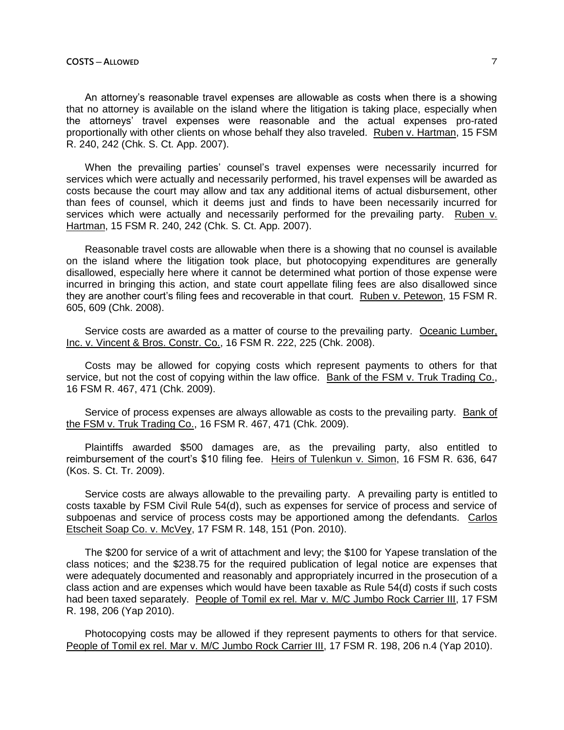An attorney's reasonable travel expenses are allowable as costs when there is a showing that no attorney is available on the island where the litigation is taking place, especially when the attorneys' travel expenses were reasonable and the actual expenses pro-rated proportionally with other clients on whose behalf they also traveled. Ruben v. Hartman, 15 FSM R. 240, 242 (Chk. S. Ct. App. 2007).

When the prevailing parties' counsel's travel expenses were necessarily incurred for services which were actually and necessarily performed, his travel expenses will be awarded as costs because the court may allow and tax any additional items of actual disbursement, other than fees of counsel, which it deems just and finds to have been necessarily incurred for services which were actually and necessarily performed for the prevailing party. Ruben v. Hartman, 15 FSM R. 240, 242 (Chk. S. Ct. App. 2007).

Reasonable travel costs are allowable when there is a showing that no counsel is available on the island where the litigation took place, but photocopying expenditures are generally disallowed, especially here where it cannot be determined what portion of those expense were incurred in bringing this action, and state court appellate filing fees are also disallowed since they are another court's filing fees and recoverable in that court. Ruben v. Petewon, 15 FSM R. 605, 609 (Chk. 2008).

Service costs are awarded as a matter of course to the prevailing party. Oceanic Lumber, Inc. v. Vincent & Bros. Constr. Co., 16 FSM R. 222, 225 (Chk. 2008).

Costs may be allowed for copying costs which represent payments to others for that service, but not the cost of copying within the law office. Bank of the FSM v. Truk Trading Co., 16 FSM R. 467, 471 (Chk. 2009).

Service of process expenses are always allowable as costs to the prevailing party. Bank of the FSM v. Truk Trading Co., 16 FSM R. 467, 471 (Chk. 2009).

Plaintiffs awarded \$500 damages are, as the prevailing party, also entitled to reimbursement of the court's \$10 filing fee. Heirs of Tulenkun v. Simon, 16 FSM R. 636, 647 (Kos. S. Ct. Tr. 2009).

Service costs are always allowable to the prevailing party. A prevailing party is entitled to costs taxable by FSM Civil Rule 54(d), such as expenses for service of process and service of subpoenas and service of process costs may be apportioned among the defendants. Carlos Etscheit Soap Co. v. McVey, 17 FSM R. 148, 151 (Pon. 2010).

The \$200 for service of a writ of attachment and levy; the \$100 for Yapese translation of the class notices; and the \$238.75 for the required publication of legal notice are expenses that were adequately documented and reasonably and appropriately incurred in the prosecution of a class action and are expenses which would have been taxable as Rule 54(d) costs if such costs had been taxed separately. People of Tomil ex rel. Mar v. M/C Jumbo Rock Carrier III, 17 FSM R. 198, 206 (Yap 2010).

Photocopying costs may be allowed if they represent payments to others for that service. People of Tomil ex rel. Mar v. M/C Jumbo Rock Carrier III, 17 FSM R. 198, 206 n.4 (Yap 2010).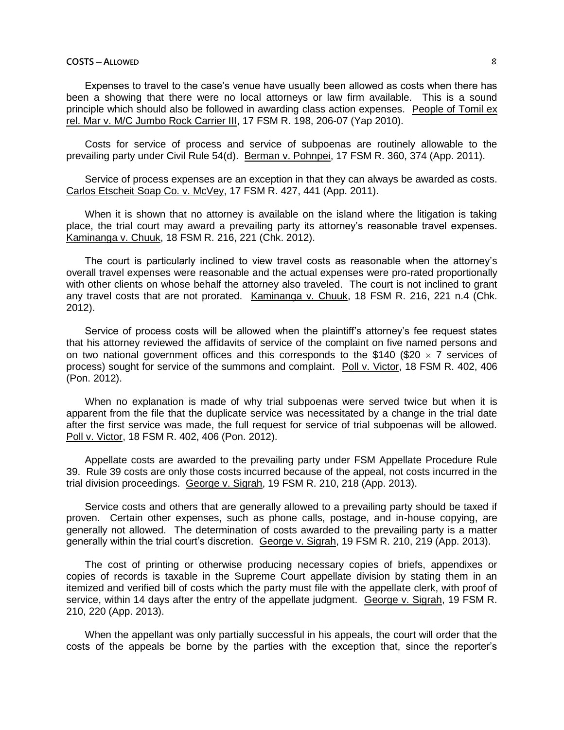# **COSTS ─ ALLOWED** 8

Expenses to travel to the case's venue have usually been allowed as costs when there has been a showing that there were no local attorneys or law firm available. This is a sound principle which should also be followed in awarding class action expenses. People of Tomil ex rel. Mar v. M/C Jumbo Rock Carrier III, 17 FSM R. 198, 206-07 (Yap 2010).

Costs for service of process and service of subpoenas are routinely allowable to the prevailing party under Civil Rule 54(d). Berman v. Pohnpei, 17 FSM R. 360, 374 (App. 2011).

Service of process expenses are an exception in that they can always be awarded as costs. Carlos Etscheit Soap Co. v. McVey, 17 FSM R. 427, 441 (App. 2011).

When it is shown that no attorney is available on the island where the litigation is taking place, the trial court may award a prevailing party its attorney's reasonable travel expenses. Kaminanga v. Chuuk, 18 FSM R. 216, 221 (Chk. 2012).

The court is particularly inclined to view travel costs as reasonable when the attorney's overall travel expenses were reasonable and the actual expenses were pro-rated proportionally with other clients on whose behalf the attorney also traveled. The court is not inclined to grant any travel costs that are not prorated. Kaminanga v. Chuuk, 18 FSM R. 216, 221 n.4 (Chk. 2012).

Service of process costs will be allowed when the plaintiff's attorney's fee request states that his attorney reviewed the affidavits of service of the complaint on five named persons and on two national government offices and this corresponds to the \$140 (\$20  $\times$  7 services of process) sought for service of the summons and complaint. Poll v. Victor, 18 FSM R. 402, 406 (Pon. 2012).

When no explanation is made of why trial subpoenas were served twice but when it is apparent from the file that the duplicate service was necessitated by a change in the trial date after the first service was made, the full request for service of trial subpoenas will be allowed. Poll v. Victor, 18 FSM R. 402, 406 (Pon. 2012).

Appellate costs are awarded to the prevailing party under FSM Appellate Procedure Rule 39. Rule 39 costs are only those costs incurred because of the appeal, not costs incurred in the trial division proceedings. George v. Sigrah, 19 FSM R. 210, 218 (App. 2013).

Service costs and others that are generally allowed to a prevailing party should be taxed if proven. Certain other expenses, such as phone calls, postage, and in-house copying, are generally not allowed. The determination of costs awarded to the prevailing party is a matter generally within the trial court's discretion. George v. Sigrah, 19 FSM R. 210, 219 (App. 2013).

The cost of printing or otherwise producing necessary copies of briefs, appendixes or copies of records is taxable in the Supreme Court appellate division by stating them in an itemized and verified bill of costs which the party must file with the appellate clerk, with proof of service, within 14 days after the entry of the appellate judgment. George v. Sigrah, 19 FSM R. 210, 220 (App. 2013).

When the appellant was only partially successful in his appeals, the court will order that the costs of the appeals be borne by the parties with the exception that, since the reporter's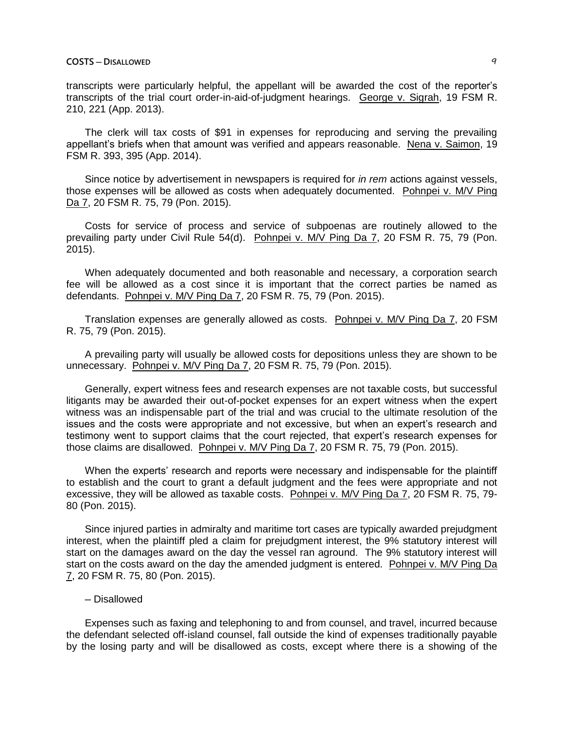transcripts were particularly helpful, the appellant will be awarded the cost of the reporter's transcripts of the trial court order-in-aid-of-judgment hearings. George v. Sigrah, 19 FSM R. 210, 221 (App. 2013).

The clerk will tax costs of \$91 in expenses for reproducing and serving the prevailing appellant's briefs when that amount was verified and appears reasonable. Nena v. Saimon, 19 FSM R. 393, 395 (App. 2014).

Since notice by advertisement in newspapers is required for *in rem* actions against vessels, those expenses will be allowed as costs when adequately documented. Pohnpei v. M/V Ping Da 7, 20 FSM R. 75, 79 (Pon. 2015).

Costs for service of process and service of subpoenas are routinely allowed to the prevailing party under Civil Rule 54(d). Pohnpei v. M/V Ping Da 7, 20 FSM R. 75, 79 (Pon. 2015).

When adequately documented and both reasonable and necessary, a corporation search fee will be allowed as a cost since it is important that the correct parties be named as defendants. Pohnpei v. M/V Ping Da 7, 20 FSM R. 75, 79 (Pon. 2015).

Translation expenses are generally allowed as costs. Pohnpei v. M/V Ping Da 7, 20 FSM R. 75, 79 (Pon. 2015).

A prevailing party will usually be allowed costs for depositions unless they are shown to be unnecessary. Pohnpei v. M/V Ping Da 7, 20 FSM R. 75, 79 (Pon. 2015).

Generally, expert witness fees and research expenses are not taxable costs, but successful litigants may be awarded their out-of-pocket expenses for an expert witness when the expert witness was an indispensable part of the trial and was crucial to the ultimate resolution of the issues and the costs were appropriate and not excessive, but when an expert's research and testimony went to support claims that the court rejected, that expert's research expenses for those claims are disallowed. Pohnpei v. M/V Ping Da 7, 20 FSM R. 75, 79 (Pon. 2015).

When the experts' research and reports were necessary and indispensable for the plaintiff to establish and the court to grant a default judgment and the fees were appropriate and not excessive, they will be allowed as taxable costs. Pohnpei v. M/V Ping Da 7, 20 FSM R. 75, 79- 80 (Pon. 2015).

Since injured parties in admiralty and maritime tort cases are typically awarded prejudgment interest, when the plaintiff pled a claim for prejudgment interest, the 9% statutory interest will start on the damages award on the day the vessel ran aground. The 9% statutory interest will start on the costs award on the day the amended judgment is entered. Pohnpei v. M/V Ping Da 7, 20 FSM R. 75, 80 (Pon. 2015).

## ─ Disallowed

Expenses such as faxing and telephoning to and from counsel, and travel, incurred because the defendant selected off-island counsel, fall outside the kind of expenses traditionally payable by the losing party and will be disallowed as costs, except where there is a showing of the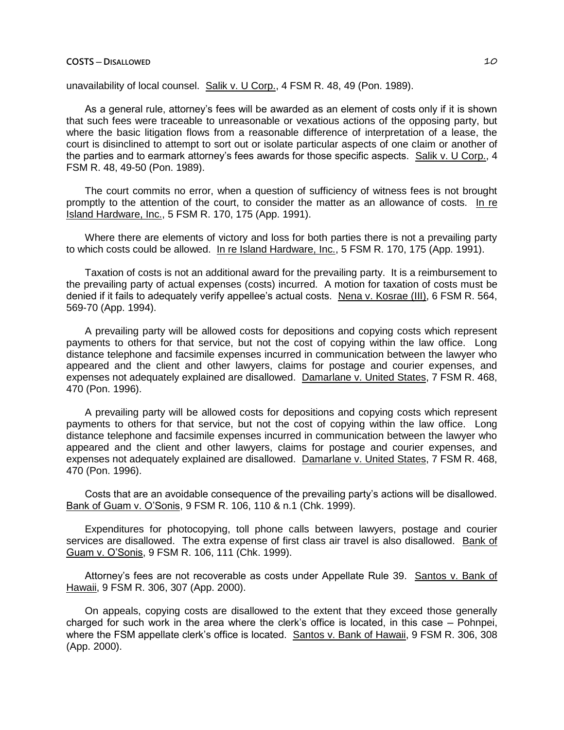unavailability of local counsel. Salik v. U Corp., 4 FSM R. 48, 49 (Pon. 1989).

As a general rule, attorney's fees will be awarded as an element of costs only if it is shown that such fees were traceable to unreasonable or vexatious actions of the opposing party, but where the basic litigation flows from a reasonable difference of interpretation of a lease, the court is disinclined to attempt to sort out or isolate particular aspects of one claim or another of the parties and to earmark attorney's fees awards for those specific aspects. Salik v. U Corp., 4 FSM R. 48, 49-50 (Pon. 1989).

The court commits no error, when a question of sufficiency of witness fees is not brought promptly to the attention of the court, to consider the matter as an allowance of costs. In re Island Hardware, Inc., 5 FSM R. 170, 175 (App. 1991).

Where there are elements of victory and loss for both parties there is not a prevailing party to which costs could be allowed. In re Island Hardware, Inc., 5 FSM R. 170, 175 (App. 1991).

Taxation of costs is not an additional award for the prevailing party. It is a reimbursement to the prevailing party of actual expenses (costs) incurred. A motion for taxation of costs must be denied if it fails to adequately verify appellee's actual costs. Nena v. Kosrae (III), 6 FSM R. 564, 569-70 (App. 1994).

A prevailing party will be allowed costs for depositions and copying costs which represent payments to others for that service, but not the cost of copying within the law office. Long distance telephone and facsimile expenses incurred in communication between the lawyer who appeared and the client and other lawyers, claims for postage and courier expenses, and expenses not adequately explained are disallowed. Damarlane v. United States, 7 FSM R. 468, 470 (Pon. 1996).

A prevailing party will be allowed costs for depositions and copying costs which represent payments to others for that service, but not the cost of copying within the law office. Long distance telephone and facsimile expenses incurred in communication between the lawyer who appeared and the client and other lawyers, claims for postage and courier expenses, and expenses not adequately explained are disallowed. Damarlane v. United States, 7 FSM R. 468, 470 (Pon. 1996).

Costs that are an avoidable consequence of the prevailing party's actions will be disallowed. Bank of Guam v. O'Sonis, 9 FSM R. 106, 110 & n.1 (Chk. 1999).

Expenditures for photocopying, toll phone calls between lawyers, postage and courier services are disallowed. The extra expense of first class air travel is also disallowed. Bank of Guam v. O'Sonis, 9 FSM R. 106, 111 (Chk. 1999).

Attorney's fees are not recoverable as costs under Appellate Rule 39. Santos v. Bank of Hawaii, 9 FSM R. 306, 307 (App. 2000).

On appeals, copying costs are disallowed to the extent that they exceed those generally charged for such work in the area where the clerk's office is located, in this case  $-$  Pohnpei, where the FSM appellate clerk's office is located. Santos v. Bank of Hawaii, 9 FSM R. 306, 308 (App. 2000).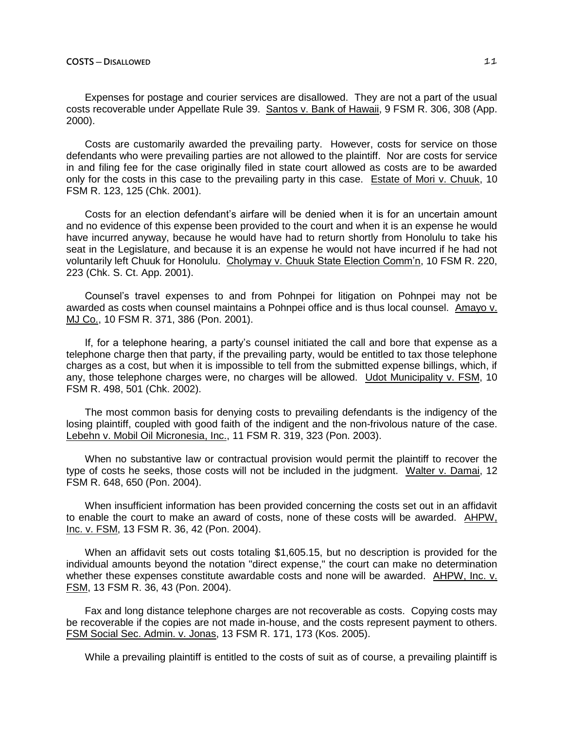Expenses for postage and courier services are disallowed. They are not a part of the usual costs recoverable under Appellate Rule 39. Santos v. Bank of Hawaii, 9 FSM R. 306, 308 (App. 2000).

Costs are customarily awarded the prevailing party. However, costs for service on those defendants who were prevailing parties are not allowed to the plaintiff. Nor are costs for service in and filing fee for the case originally filed in state court allowed as costs are to be awarded only for the costs in this case to the prevailing party in this case. Estate of Mori v. Chuuk, 10 FSM R. 123, 125 (Chk. 2001).

Costs for an election defendant's airfare will be denied when it is for an uncertain amount and no evidence of this expense been provided to the court and when it is an expense he would have incurred anyway, because he would have had to return shortly from Honolulu to take his seat in the Legislature, and because it is an expense he would not have incurred if he had not voluntarily left Chuuk for Honolulu. Cholymay v. Chuuk State Election Comm'n, 10 FSM R. 220, 223 (Chk. S. Ct. App. 2001).

Counsel's travel expenses to and from Pohnpei for litigation on Pohnpei may not be awarded as costs when counsel maintains a Pohnpei office and is thus local counsel. Amayo v. MJ Co., 10 FSM R. 371, 386 (Pon. 2001).

If, for a telephone hearing, a party's counsel initiated the call and bore that expense as a telephone charge then that party, if the prevailing party, would be entitled to tax those telephone charges as a cost, but when it is impossible to tell from the submitted expense billings, which, if any, those telephone charges were, no charges will be allowed. Udot Municipality v. FSM, 10 FSM R. 498, 501 (Chk. 2002).

The most common basis for denying costs to prevailing defendants is the indigency of the losing plaintiff, coupled with good faith of the indigent and the non-frivolous nature of the case. Lebehn v. Mobil Oil Micronesia, Inc., 11 FSM R. 319, 323 (Pon. 2003).

When no substantive law or contractual provision would permit the plaintiff to recover the type of costs he seeks, those costs will not be included in the judgment. Walter v. Damai, 12 FSM R. 648, 650 (Pon. 2004).

When insufficient information has been provided concerning the costs set out in an affidavit to enable the court to make an award of costs, none of these costs will be awarded. AHPW, Inc. v. FSM, 13 FSM R. 36, 42 (Pon. 2004).

When an affidavit sets out costs totaling \$1,605.15, but no description is provided for the individual amounts beyond the notation "direct expense," the court can make no determination whether these expenses constitute awardable costs and none will be awarded. AHPW, Inc. v. FSM, 13 FSM R. 36, 43 (Pon. 2004).

Fax and long distance telephone charges are not recoverable as costs. Copying costs may be recoverable if the copies are not made in-house, and the costs represent payment to others. FSM Social Sec. Admin. v. Jonas, 13 FSM R. 171, 173 (Kos. 2005).

While a prevailing plaintiff is entitled to the costs of suit as of course, a prevailing plaintiff is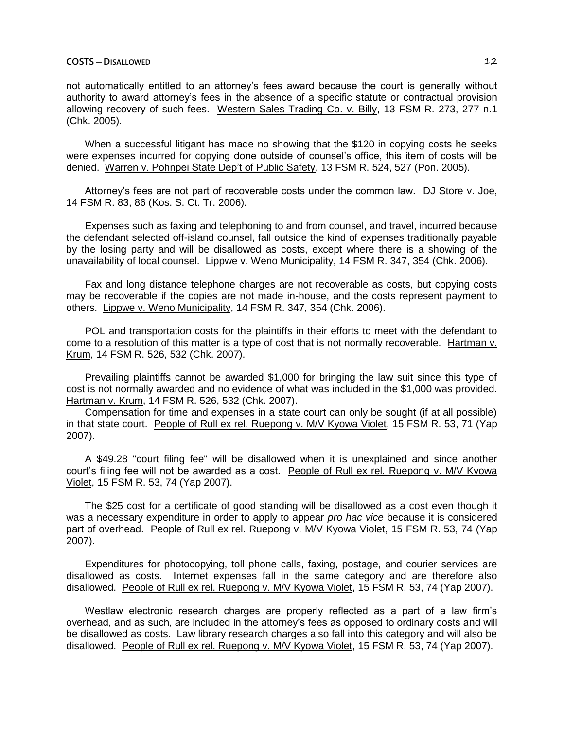not automatically entitled to an attorney's fees award because the court is generally without authority to award attorney's fees in the absence of a specific statute or contractual provision allowing recovery of such fees. Western Sales Trading Co. v. Billy, 13 FSM R. 273, 277 n.1 (Chk. 2005).

When a successful litigant has made no showing that the \$120 in copying costs he seeks were expenses incurred for copying done outside of counsel's office, this item of costs will be denied. Warren v. Pohnpei State Dep't of Public Safety, 13 FSM R. 524, 527 (Pon. 2005).

Attorney's fees are not part of recoverable costs under the common law. DJ Store v. Joe, 14 FSM R. 83, 86 (Kos. S. Ct. Tr. 2006).

Expenses such as faxing and telephoning to and from counsel, and travel, incurred because the defendant selected off-island counsel, fall outside the kind of expenses traditionally payable by the losing party and will be disallowed as costs, except where there is a showing of the unavailability of local counsel. Lippwe v. Weno Municipality, 14 FSM R. 347, 354 (Chk. 2006).

Fax and long distance telephone charges are not recoverable as costs, but copying costs may be recoverable if the copies are not made in-house, and the costs represent payment to others. Lippwe v. Weno Municipality, 14 FSM R. 347, 354 (Chk. 2006).

POL and transportation costs for the plaintiffs in their efforts to meet with the defendant to come to a resolution of this matter is a type of cost that is not normally recoverable. Hartman v. Krum, 14 FSM R. 526, 532 (Chk. 2007).

Prevailing plaintiffs cannot be awarded \$1,000 for bringing the law suit since this type of cost is not normally awarded and no evidence of what was included in the \$1,000 was provided. Hartman v. Krum, 14 FSM R. 526, 532 (Chk. 2007).

Compensation for time and expenses in a state court can only be sought (if at all possible) in that state court. People of Rull ex rel. Ruepong v. M/V Kyowa Violet, 15 FSM R. 53, 71 (Yap 2007).

A \$49.28 "court filing fee" will be disallowed when it is unexplained and since another court's filing fee will not be awarded as a cost. People of Rull ex rel. Ruepong v. M/V Kyowa Violet, 15 FSM R. 53, 74 (Yap 2007).

The \$25 cost for a certificate of good standing will be disallowed as a cost even though it was a necessary expenditure in order to apply to appear *pro hac vice* because it is considered part of overhead. People of Rull ex rel. Ruepong v. M/V Kyowa Violet, 15 FSM R. 53, 74 (Yap 2007).

Expenditures for photocopying, toll phone calls, faxing, postage, and courier services are disallowed as costs. Internet expenses fall in the same category and are therefore also disallowed. People of Rull ex rel. Ruepong v. M/V Kyowa Violet, 15 FSM R. 53, 74 (Yap 2007).

Westlaw electronic research charges are properly reflected as a part of a law firm's overhead, and as such, are included in the attorney's fees as opposed to ordinary costs and will be disallowed as costs. Law library research charges also fall into this category and will also be disallowed. People of Rull ex rel. Ruepong v. M/V Kyowa Violet, 15 FSM R. 53, 74 (Yap 2007).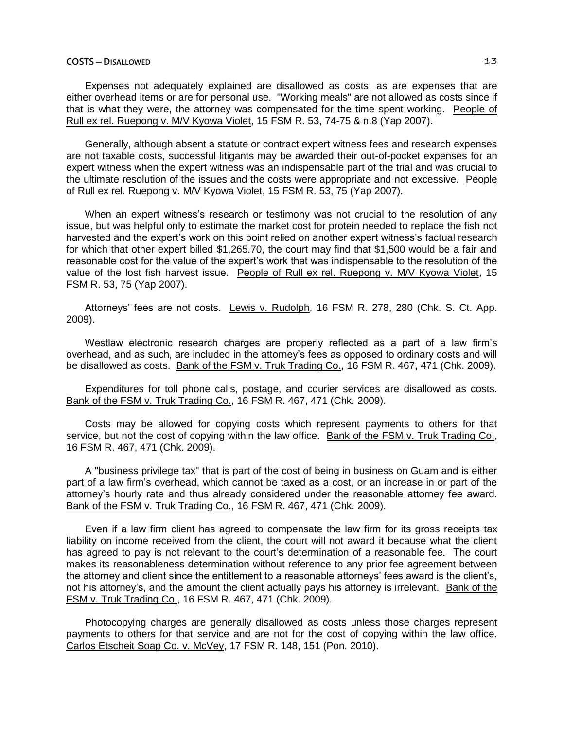### **COSTS ─ DISALLOWED** 13

Expenses not adequately explained are disallowed as costs, as are expenses that are either overhead items or are for personal use. "Working meals" are not allowed as costs since if that is what they were, the attorney was compensated for the time spent working. People of Rull ex rel. Ruepong v. M/V Kyowa Violet, 15 FSM R. 53, 74-75 & n.8 (Yap 2007).

Generally, although absent a statute or contract expert witness fees and research expenses are not taxable costs, successful litigants may be awarded their out-of-pocket expenses for an expert witness when the expert witness was an indispensable part of the trial and was crucial to the ultimate resolution of the issues and the costs were appropriate and not excessive. People of Rull ex rel. Ruepong v. M/V Kyowa Violet, 15 FSM R. 53, 75 (Yap 2007).

When an expert witness's research or testimony was not crucial to the resolution of any issue, but was helpful only to estimate the market cost for protein needed to replace the fish not harvested and the expert's work on this point relied on another expert witness's factual research for which that other expert billed \$1,265.70, the court may find that \$1,500 would be a fair and reasonable cost for the value of the expert's work that was indispensable to the resolution of the value of the lost fish harvest issue. People of Rull ex rel. Ruepong v. M/V Kyowa Violet, 15 FSM R. 53, 75 (Yap 2007).

Attorneys' fees are not costs. Lewis v. Rudolph, 16 FSM R. 278, 280 (Chk. S. Ct. App. 2009).

Westlaw electronic research charges are properly reflected as a part of a law firm's overhead, and as such, are included in the attorney's fees as opposed to ordinary costs and will be disallowed as costs. Bank of the FSM v. Truk Trading Co., 16 FSM R. 467, 471 (Chk. 2009).

Expenditures for toll phone calls, postage, and courier services are disallowed as costs. Bank of the FSM v. Truk Trading Co., 16 FSM R. 467, 471 (Chk. 2009).

Costs may be allowed for copying costs which represent payments to others for that service, but not the cost of copying within the law office. Bank of the FSM v. Truk Trading Co., 16 FSM R. 467, 471 (Chk. 2009).

A "business privilege tax" that is part of the cost of being in business on Guam and is either part of a law firm's overhead, which cannot be taxed as a cost, or an increase in or part of the attorney's hourly rate and thus already considered under the reasonable attorney fee award. Bank of the FSM v. Truk Trading Co., 16 FSM R. 467, 471 (Chk. 2009).

Even if a law firm client has agreed to compensate the law firm for its gross receipts tax liability on income received from the client, the court will not award it because what the client has agreed to pay is not relevant to the court's determination of a reasonable fee. The court makes its reasonableness determination without reference to any prior fee agreement between the attorney and client since the entitlement to a reasonable attorneys' fees award is the client's, not his attorney's, and the amount the client actually pays his attorney is irrelevant. Bank of the FSM v. Truk Trading Co., 16 FSM R. 467, 471 (Chk. 2009).

Photocopying charges are generally disallowed as costs unless those charges represent payments to others for that service and are not for the cost of copying within the law office. Carlos Etscheit Soap Co. v. McVey, 17 FSM R. 148, 151 (Pon. 2010).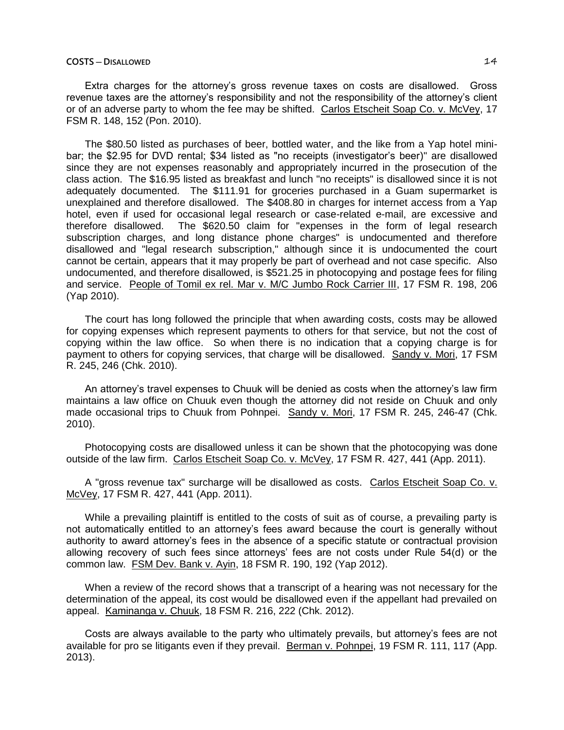#### **COSTS ─ DISALLOWED** 14

Extra charges for the attorney's gross revenue taxes on costs are disallowed. Gross revenue taxes are the attorney's responsibility and not the responsibility of the attorney's client or of an adverse party to whom the fee may be shifted. Carlos Etscheit Soap Co. v. McVey, 17 FSM R. 148, 152 (Pon. 2010).

The \$80.50 listed as purchases of beer, bottled water, and the like from a Yap hotel minibar; the \$2.95 for DVD rental; \$34 listed as "no receipts (investigator's beer)" are disallowed since they are not expenses reasonably and appropriately incurred in the prosecution of the class action. The \$16.95 listed as breakfast and lunch "no receipts" is disallowed since it is not adequately documented. The \$111.91 for groceries purchased in a Guam supermarket is unexplained and therefore disallowed. The \$408.80 in charges for internet access from a Yap hotel, even if used for occasional legal research or case-related e-mail, are excessive and therefore disallowed. The \$620.50 claim for "expenses in the form of legal research subscription charges, and long distance phone charges" is undocumented and therefore disallowed and "legal research subscription," although since it is undocumented the court cannot be certain, appears that it may properly be part of overhead and not case specific. Also undocumented, and therefore disallowed, is \$521.25 in photocopying and postage fees for filing and service. People of Tomil ex rel. Mar v. M/C Jumbo Rock Carrier III, 17 FSM R. 198, 206 (Yap 2010).

The court has long followed the principle that when awarding costs, costs may be allowed for copying expenses which represent payments to others for that service, but not the cost of copying within the law office. So when there is no indication that a copying charge is for payment to others for copying services, that charge will be disallowed. Sandy v. Mori, 17 FSM R. 245, 246 (Chk. 2010).

An attorney's travel expenses to Chuuk will be denied as costs when the attorney's law firm maintains a law office on Chuuk even though the attorney did not reside on Chuuk and only made occasional trips to Chuuk from Pohnpei. Sandy v. Mori, 17 FSM R. 245, 246-47 (Chk. 2010).

Photocopying costs are disallowed unless it can be shown that the photocopying was done outside of the law firm. Carlos Etscheit Soap Co. v. McVey, 17 FSM R. 427, 441 (App. 2011).

A "gross revenue tax" surcharge will be disallowed as costs. Carlos Etscheit Soap Co. v. McVey, 17 FSM R. 427, 441 (App. 2011).

While a prevailing plaintiff is entitled to the costs of suit as of course, a prevailing party is not automatically entitled to an attorney's fees award because the court is generally without authority to award attorney's fees in the absence of a specific statute or contractual provision allowing recovery of such fees since attorneys' fees are not costs under Rule 54(d) or the common law. FSM Dev. Bank v. Ayin, 18 FSM R. 190, 192 (Yap 2012).

When a review of the record shows that a transcript of a hearing was not necessary for the determination of the appeal, its cost would be disallowed even if the appellant had prevailed on appeal. Kaminanga v. Chuuk, 18 FSM R. 216, 222 (Chk. 2012).

Costs are always available to the party who ultimately prevails, but attorney's fees are not available for pro se litigants even if they prevail. Berman v. Pohnpei, 19 FSM R. 111, 117 (App. 2013).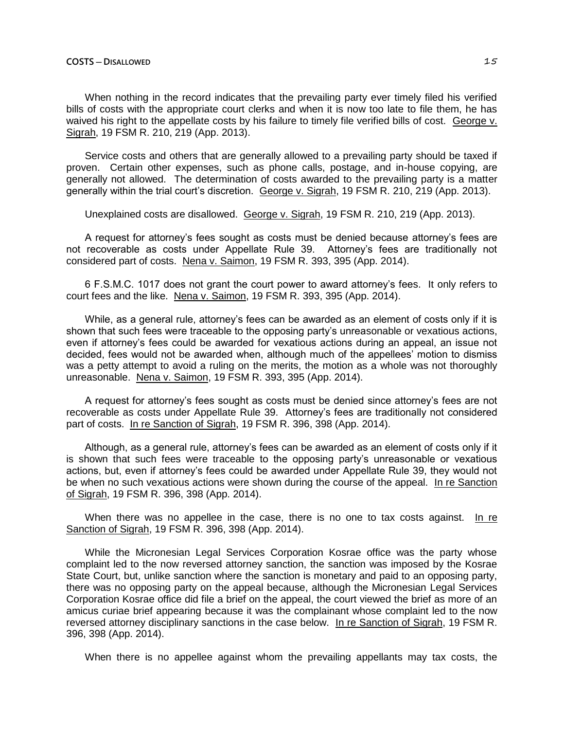When nothing in the record indicates that the prevailing party ever timely filed his verified bills of costs with the appropriate court clerks and when it is now too late to file them, he has waived his right to the appellate costs by his failure to timely file verified bills of cost. George v. Sigrah, 19 FSM R. 210, 219 (App. 2013).

Service costs and others that are generally allowed to a prevailing party should be taxed if proven. Certain other expenses, such as phone calls, postage, and in-house copying, are generally not allowed. The determination of costs awarded to the prevailing party is a matter generally within the trial court's discretion. George v. Sigrah, 19 FSM R. 210, 219 (App. 2013).

Unexplained costs are disallowed. George v. Sigrah, 19 FSM R. 210, 219 (App. 2013).

A request for attorney's fees sought as costs must be denied because attorney's fees are not recoverable as costs under Appellate Rule 39. Attorney's fees are traditionally not considered part of costs. Nena v. Saimon, 19 FSM R. 393, 395 (App. 2014).

6 F.S.M.C. 1017 does not grant the court power to award attorney's fees. It only refers to court fees and the like. Nena v. Saimon, 19 FSM R. 393, 395 (App. 2014).

While, as a general rule, attorney's fees can be awarded as an element of costs only if it is shown that such fees were traceable to the opposing party's unreasonable or vexatious actions, even if attorney's fees could be awarded for vexatious actions during an appeal, an issue not decided, fees would not be awarded when, although much of the appellees' motion to dismiss was a petty attempt to avoid a ruling on the merits, the motion as a whole was not thoroughly unreasonable. Nena v. Saimon, 19 FSM R. 393, 395 (App. 2014).

A request for attorney's fees sought as costs must be denied since attorney's fees are not recoverable as costs under Appellate Rule 39. Attorney's fees are traditionally not considered part of costs. In re Sanction of Sigrah, 19 FSM R. 396, 398 (App. 2014).

Although, as a general rule, attorney's fees can be awarded as an element of costs only if it is shown that such fees were traceable to the opposing party's unreasonable or vexatious actions, but, even if attorney's fees could be awarded under Appellate Rule 39, they would not be when no such vexatious actions were shown during the course of the appeal. In re Sanction of Sigrah, 19 FSM R. 396, 398 (App. 2014).

When there was no appellee in the case, there is no one to tax costs against. In re Sanction of Sigrah, 19 FSM R. 396, 398 (App. 2014).

While the Micronesian Legal Services Corporation Kosrae office was the party whose complaint led to the now reversed attorney sanction, the sanction was imposed by the Kosrae State Court, but, unlike sanction where the sanction is monetary and paid to an opposing party, there was no opposing party on the appeal because, although the Micronesian Legal Services Corporation Kosrae office did file a brief on the appeal, the court viewed the brief as more of an amicus curiae brief appearing because it was the complainant whose complaint led to the now reversed attorney disciplinary sanctions in the case below. In re Sanction of Sigrah, 19 FSM R. 396, 398 (App. 2014).

When there is no appellee against whom the prevailing appellants may tax costs, the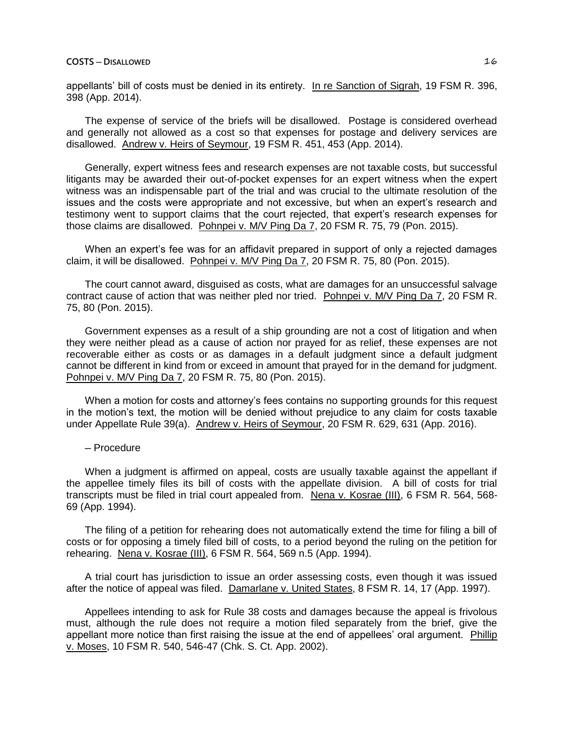appellants' bill of costs must be denied in its entirety. In re Sanction of Sigrah, 19 FSM R. 396, 398 (App. 2014).

The expense of service of the briefs will be disallowed. Postage is considered overhead and generally not allowed as a cost so that expenses for postage and delivery services are disallowed. Andrew v. Heirs of Seymour, 19 FSM R. 451, 453 (App. 2014).

Generally, expert witness fees and research expenses are not taxable costs, but successful litigants may be awarded their out-of-pocket expenses for an expert witness when the expert witness was an indispensable part of the trial and was crucial to the ultimate resolution of the issues and the costs were appropriate and not excessive, but when an expert's research and testimony went to support claims that the court rejected, that expert's research expenses for those claims are disallowed. Pohnpei v. M/V Ping Da 7, 20 FSM R. 75, 79 (Pon. 2015).

When an expert's fee was for an affidavit prepared in support of only a rejected damages claim, it will be disallowed. Pohnpei v. M/V Ping Da 7, 20 FSM R. 75, 80 (Pon. 2015).

The court cannot award, disguised as costs, what are damages for an unsuccessful salvage contract cause of action that was neither pled nor tried. Pohnpei v. M/V Ping Da 7, 20 FSM R. 75, 80 (Pon. 2015).

Government expenses as a result of a ship grounding are not a cost of litigation and when they were neither plead as a cause of action nor prayed for as relief, these expenses are not recoverable either as costs or as damages in a default judgment since a default judgment cannot be different in kind from or exceed in amount that prayed for in the demand for judgment. Pohnpei v. M/V Ping Da 7, 20 FSM R. 75, 80 (Pon. 2015).

When a motion for costs and attorney's fees contains no supporting grounds for this request in the motion's text, the motion will be denied without prejudice to any claim for costs taxable under Appellate Rule 39(a). Andrew v. Heirs of Seymour, 20 FSM R. 629, 631 (App. 2016).

─ Procedure

When a judgment is affirmed on appeal, costs are usually taxable against the appellant if the appellee timely files its bill of costs with the appellate division. A bill of costs for trial transcripts must be filed in trial court appealed from. Nena v. Kosrae (III), 6 FSM R. 564, 568- 69 (App. 1994).

The filing of a petition for rehearing does not automatically extend the time for filing a bill of costs or for opposing a timely filed bill of costs, to a period beyond the ruling on the petition for rehearing. Nena v. Kosrae (III), 6 FSM R. 564, 569 n.5 (App. 1994).

A trial court has jurisdiction to issue an order assessing costs, even though it was issued after the notice of appeal was filed. Damarlane v. United States, 8 FSM R. 14, 17 (App. 1997).

Appellees intending to ask for Rule 38 costs and damages because the appeal is frivolous must, although the rule does not require a motion filed separately from the brief, give the appellant more notice than first raising the issue at the end of appellees' oral argument. Phillip v. Moses, 10 FSM R. 540, 546-47 (Chk. S. Ct. App. 2002).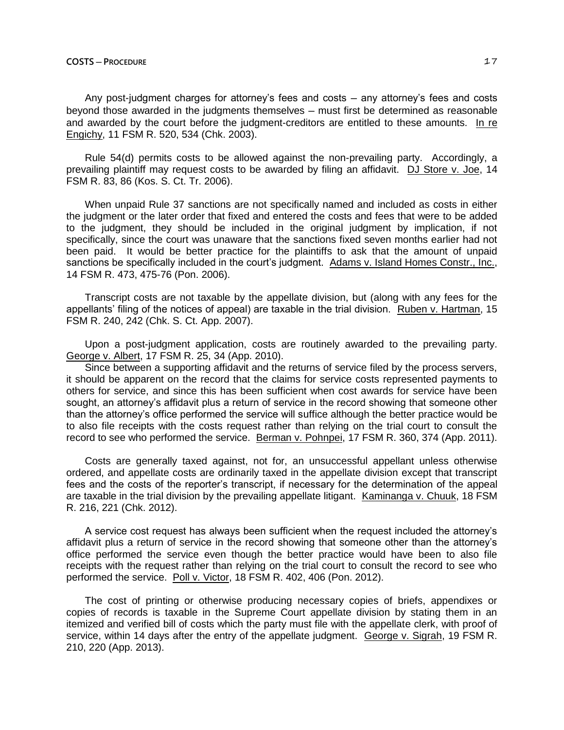Any post-judgment charges for attorney's fees and costs ─ any attorney's fees and costs beyond those awarded in the judgments themselves — must first be determined as reasonable and awarded by the court before the judgment-creditors are entitled to these amounts. In re Engichy, 11 FSM R. 520, 534 (Chk. 2003).

Rule 54(d) permits costs to be allowed against the non-prevailing party. Accordingly, a prevailing plaintiff may request costs to be awarded by filing an affidavit. DJ Store v. Joe, 14 FSM R. 83, 86 (Kos. S. Ct. Tr. 2006).

When unpaid Rule 37 sanctions are not specifically named and included as costs in either the judgment or the later order that fixed and entered the costs and fees that were to be added to the judgment, they should be included in the original judgment by implication, if not specifically, since the court was unaware that the sanctions fixed seven months earlier had not been paid. It would be better practice for the plaintiffs to ask that the amount of unpaid sanctions be specifically included in the court's judgment. Adams v. Island Homes Constr., Inc., 14 FSM R. 473, 475-76 (Pon. 2006).

Transcript costs are not taxable by the appellate division, but (along with any fees for the appellants' filing of the notices of appeal) are taxable in the trial division. Ruben v. Hartman, 15 FSM R. 240, 242 (Chk. S. Ct. App. 2007).

Upon a post-judgment application, costs are routinely awarded to the prevailing party. George v. Albert, 17 FSM R. 25, 34 (App. 2010).

Since between a supporting affidavit and the returns of service filed by the process servers, it should be apparent on the record that the claims for service costs represented payments to others for service, and since this has been sufficient when cost awards for service have been sought, an attorney's affidavit plus a return of service in the record showing that someone other than the attorney's office performed the service will suffice although the better practice would be to also file receipts with the costs request rather than relying on the trial court to consult the record to see who performed the service. Berman v. Pohnpei, 17 FSM R. 360, 374 (App. 2011).

Costs are generally taxed against, not for, an unsuccessful appellant unless otherwise ordered, and appellate costs are ordinarily taxed in the appellate division except that transcript fees and the costs of the reporter's transcript, if necessary for the determination of the appeal are taxable in the trial division by the prevailing appellate litigant. Kaminanga v. Chuuk, 18 FSM R. 216, 221 (Chk. 2012).

A service cost request has always been sufficient when the request included the attorney's affidavit plus a return of service in the record showing that someone other than the attorney's office performed the service even though the better practice would have been to also file receipts with the request rather than relying on the trial court to consult the record to see who performed the service. Poll v. Victor, 18 FSM R. 402, 406 (Pon. 2012).

The cost of printing or otherwise producing necessary copies of briefs, appendixes or copies of records is taxable in the Supreme Court appellate division by stating them in an itemized and verified bill of costs which the party must file with the appellate clerk, with proof of service, within 14 days after the entry of the appellate judgment. George v. Sigrah, 19 FSM R. 210, 220 (App. 2013).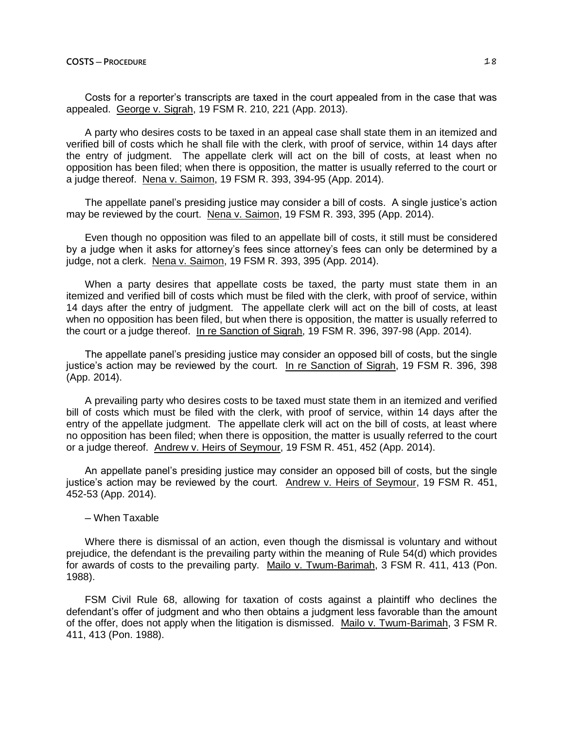Costs for a reporter's transcripts are taxed in the court appealed from in the case that was appealed. George v. Sigrah, 19 FSM R. 210, 221 (App. 2013).

A party who desires costs to be taxed in an appeal case shall state them in an itemized and verified bill of costs which he shall file with the clerk, with proof of service, within 14 days after the entry of judgment. The appellate clerk will act on the bill of costs, at least when no opposition has been filed; when there is opposition, the matter is usually referred to the court or a judge thereof. Nena v. Saimon, 19 FSM R. 393, 394-95 (App. 2014).

The appellate panel's presiding justice may consider a bill of costs. A single justice's action may be reviewed by the court. Nena v. Saimon, 19 FSM R. 393, 395 (App. 2014).

Even though no opposition was filed to an appellate bill of costs, it still must be considered by a judge when it asks for attorney's fees since attorney's fees can only be determined by a judge, not a clerk. Nena v. Saimon, 19 FSM R. 393, 395 (App. 2014).

When a party desires that appellate costs be taxed, the party must state them in an itemized and verified bill of costs which must be filed with the clerk, with proof of service, within 14 days after the entry of judgment. The appellate clerk will act on the bill of costs, at least when no opposition has been filed, but when there is opposition, the matter is usually referred to the court or a judge thereof. In re Sanction of Sigrah, 19 FSM R. 396, 397-98 (App. 2014).

The appellate panel's presiding justice may consider an opposed bill of costs, but the single justice's action may be reviewed by the court. In re Sanction of Sigrah, 19 FSM R. 396, 398 (App. 2014).

A prevailing party who desires costs to be taxed must state them in an itemized and verified bill of costs which must be filed with the clerk, with proof of service, within 14 days after the entry of the appellate judgment. The appellate clerk will act on the bill of costs, at least where no opposition has been filed; when there is opposition, the matter is usually referred to the court or a judge thereof. Andrew v. Heirs of Seymour, 19 FSM R. 451, 452 (App. 2014).

An appellate panel's presiding justice may consider an opposed bill of costs, but the single justice's action may be reviewed by the court. Andrew v. Heirs of Seymour, 19 FSM R. 451, 452-53 (App. 2014).

─ When Taxable

Where there is dismissal of an action, even though the dismissal is voluntary and without prejudice, the defendant is the prevailing party within the meaning of Rule 54(d) which provides for awards of costs to the prevailing party. Mailo v. Twum-Barimah, 3 FSM R. 411, 413 (Pon. 1988).

FSM Civil Rule 68, allowing for taxation of costs against a plaintiff who declines the defendant's offer of judgment and who then obtains a judgment less favorable than the amount of the offer, does not apply when the litigation is dismissed. Mailo v. Twum-Barimah, 3 FSM R. 411, 413 (Pon. 1988).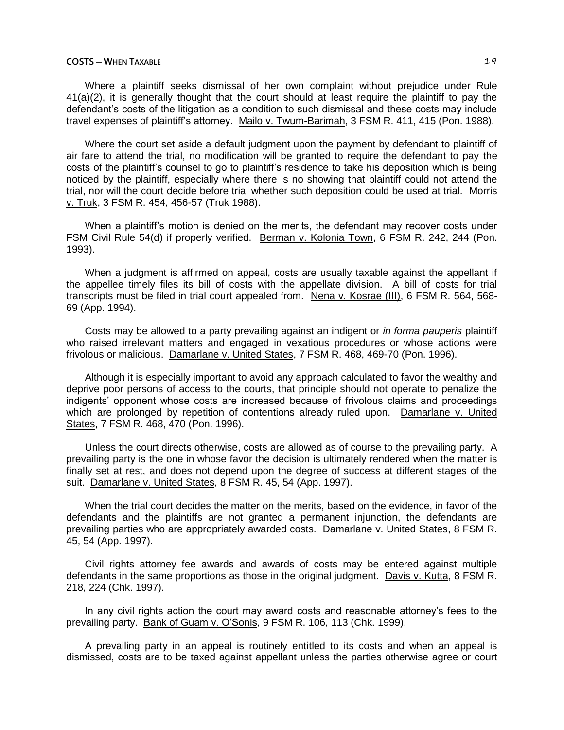## **COSTS — WHEN TAXABLE** 24

Where a plaintiff seeks dismissal of her own complaint without prejudice under Rule 41(a)(2), it is generally thought that the court should at least require the plaintiff to pay the defendant's costs of the litigation as a condition to such dismissal and these costs may include travel expenses of plaintiff's attorney. Mailo v. Twum-Barimah, 3 FSM R. 411, 415 (Pon. 1988).

Where the court set aside a default judgment upon the payment by defendant to plaintiff of air fare to attend the trial, no modification will be granted to require the defendant to pay the costs of the plaintiff's counsel to go to plaintiff's residence to take his deposition which is being noticed by the plaintiff, especially where there is no showing that plaintiff could not attend the trial, nor will the court decide before trial whether such deposition could be used at trial. Morris v. Truk, 3 FSM R. 454, 456-57 (Truk 1988).

When a plaintiff's motion is denied on the merits, the defendant may recover costs under FSM Civil Rule 54(d) if properly verified. Berman v. Kolonia Town, 6 FSM R. 242, 244 (Pon. 1993).

When a judgment is affirmed on appeal, costs are usually taxable against the appellant if the appellee timely files its bill of costs with the appellate division. A bill of costs for trial transcripts must be filed in trial court appealed from. Nena v. Kosrae (III), 6 FSM R. 564, 568- 69 (App. 1994).

Costs may be allowed to a party prevailing against an indigent or *in forma pauperis* plaintiff who raised irrelevant matters and engaged in vexatious procedures or whose actions were frivolous or malicious. Damarlane v. United States, 7 FSM R. 468, 469-70 (Pon. 1996).

Although it is especially important to avoid any approach calculated to favor the wealthy and deprive poor persons of access to the courts, that principle should not operate to penalize the indigents' opponent whose costs are increased because of frivolous claims and proceedings which are prolonged by repetition of contentions already ruled upon. Damarlane v. United States, 7 FSM R. 468, 470 (Pon. 1996).

Unless the court directs otherwise, costs are allowed as of course to the prevailing party. A prevailing party is the one in whose favor the decision is ultimately rendered when the matter is finally set at rest, and does not depend upon the degree of success at different stages of the suit. Damarlane v. United States, 8 FSM R. 45, 54 (App. 1997).

When the trial court decides the matter on the merits, based on the evidence, in favor of the defendants and the plaintiffs are not granted a permanent injunction, the defendants are prevailing parties who are appropriately awarded costs. Damarlane v. United States, 8 FSM R. 45, 54 (App. 1997).

Civil rights attorney fee awards and awards of costs may be entered against multiple defendants in the same proportions as those in the original judgment. Davis v. Kutta, 8 FSM R. 218, 224 (Chk. 1997).

In any civil rights action the court may award costs and reasonable attorney's fees to the prevailing party. Bank of Guam v. O'Sonis, 9 FSM R. 106, 113 (Chk. 1999).

A prevailing party in an appeal is routinely entitled to its costs and when an appeal is dismissed, costs are to be taxed against appellant unless the parties otherwise agree or court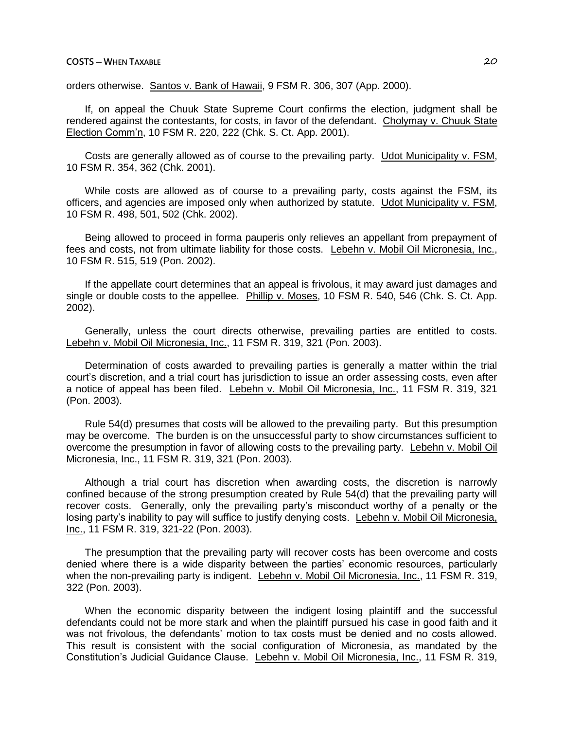### **COSTS ─ WHEN TAXABLE** 20

orders otherwise. Santos v. Bank of Hawaii, 9 FSM R. 306, 307 (App. 2000).

If, on appeal the Chuuk State Supreme Court confirms the election, judgment shall be rendered against the contestants, for costs, in favor of the defendant. Cholymay v. Chuuk State Election Comm'n, 10 FSM R. 220, 222 (Chk. S. Ct. App. 2001).

Costs are generally allowed as of course to the prevailing party. Udot Municipality v. FSM, 10 FSM R. 354, 362 (Chk. 2001).

While costs are allowed as of course to a prevailing party, costs against the FSM, its officers, and agencies are imposed only when authorized by statute. Udot Municipality v. FSM, 10 FSM R. 498, 501, 502 (Chk. 2002).

Being allowed to proceed in forma pauperis only relieves an appellant from prepayment of fees and costs, not from ultimate liability for those costs. Lebehn v. Mobil Oil Micronesia, Inc., 10 FSM R. 515, 519 (Pon. 2002).

If the appellate court determines that an appeal is frivolous, it may award just damages and single or double costs to the appellee. Phillip v. Moses, 10 FSM R. 540, 546 (Chk. S. Ct. App. 2002).

Generally, unless the court directs otherwise, prevailing parties are entitled to costs. Lebehn v. Mobil Oil Micronesia, Inc., 11 FSM R. 319, 321 (Pon. 2003).

Determination of costs awarded to prevailing parties is generally a matter within the trial court's discretion, and a trial court has jurisdiction to issue an order assessing costs, even after a notice of appeal has been filed. Lebehn v. Mobil Oil Micronesia, Inc., 11 FSM R. 319, 321 (Pon. 2003).

Rule 54(d) presumes that costs will be allowed to the prevailing party. But this presumption may be overcome. The burden is on the unsuccessful party to show circumstances sufficient to overcome the presumption in favor of allowing costs to the prevailing party. Lebehn v. Mobil Oil Micronesia, Inc., 11 FSM R. 319, 321 (Pon. 2003).

Although a trial court has discretion when awarding costs, the discretion is narrowly confined because of the strong presumption created by Rule 54(d) that the prevailing party will recover costs. Generally, only the prevailing party's misconduct worthy of a penalty or the losing party's inability to pay will suffice to justify denying costs. Lebehn v. Mobil Oil Micronesia, Inc., 11 FSM R. 319, 321-22 (Pon. 2003).

The presumption that the prevailing party will recover costs has been overcome and costs denied where there is a wide disparity between the parties' economic resources, particularly when the non-prevailing party is indigent. Lebehn v. Mobil Oil Micronesia, Inc., 11 FSM R. 319, 322 (Pon. 2003).

When the economic disparity between the indigent losing plaintiff and the successful defendants could not be more stark and when the plaintiff pursued his case in good faith and it was not frivolous, the defendants' motion to tax costs must be denied and no costs allowed. This result is consistent with the social configuration of Micronesia, as mandated by the Constitution's Judicial Guidance Clause. Lebehn v. Mobil Oil Micronesia, Inc., 11 FSM R. 319,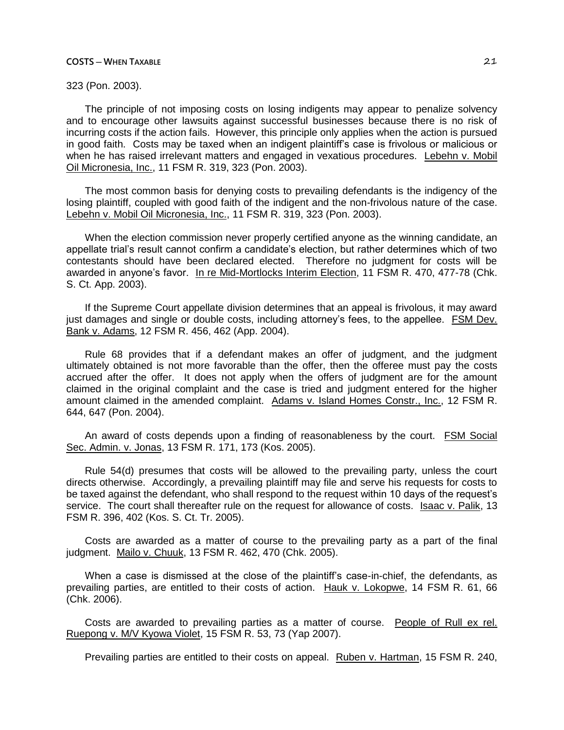### **COSTS ─ WHEN TAXABLE** 21

323 (Pon. 2003).

The principle of not imposing costs on losing indigents may appear to penalize solvency and to encourage other lawsuits against successful businesses because there is no risk of incurring costs if the action fails. However, this principle only applies when the action is pursued in good faith. Costs may be taxed when an indigent plaintiff's case is frivolous or malicious or when he has raised irrelevant matters and engaged in vexatious procedures. Lebehn v. Mobil Oil Micronesia, Inc., 11 FSM R. 319, 323 (Pon. 2003).

The most common basis for denying costs to prevailing defendants is the indigency of the losing plaintiff, coupled with good faith of the indigent and the non-frivolous nature of the case. Lebehn v. Mobil Oil Micronesia, Inc., 11 FSM R. 319, 323 (Pon. 2003).

When the election commission never properly certified anyone as the winning candidate, an appellate trial's result cannot confirm a candidate's election, but rather determines which of two contestants should have been declared elected. Therefore no judgment for costs will be awarded in anyone's favor. In re Mid-Mortlocks Interim Election, 11 FSM R. 470, 477-78 (Chk. S. Ct. App. 2003).

If the Supreme Court appellate division determines that an appeal is frivolous, it may award just damages and single or double costs, including attorney's fees, to the appellee. FSM Dev. Bank v. Adams, 12 FSM R. 456, 462 (App. 2004).

Rule 68 provides that if a defendant makes an offer of judgment, and the judgment ultimately obtained is not more favorable than the offer, then the offeree must pay the costs accrued after the offer. It does not apply when the offers of judgment are for the amount claimed in the original complaint and the case is tried and judgment entered for the higher amount claimed in the amended complaint. Adams v. Island Homes Constr., Inc., 12 FSM R. 644, 647 (Pon. 2004).

An award of costs depends upon a finding of reasonableness by the court. FSM Social Sec. Admin. v. Jonas, 13 FSM R. 171, 173 (Kos. 2005).

Rule 54(d) presumes that costs will be allowed to the prevailing party, unless the court directs otherwise. Accordingly, a prevailing plaintiff may file and serve his requests for costs to be taxed against the defendant, who shall respond to the request within 10 days of the request's service. The court shall thereafter rule on the request for allowance of costs. Isaac v. Palik, 13 FSM R. 396, 402 (Kos. S. Ct. Tr. 2005).

Costs are awarded as a matter of course to the prevailing party as a part of the final judgment. Mailo v. Chuuk, 13 FSM R. 462, 470 (Chk. 2005).

When a case is dismissed at the close of the plaintiff's case-in-chief, the defendants, as prevailing parties, are entitled to their costs of action. Hauk v. Lokopwe, 14 FSM R. 61, 66 (Chk. 2006).

Costs are awarded to prevailing parties as a matter of course. People of Rull ex rel. Ruepong v. M/V Kyowa Violet, 15 FSM R. 53, 73 (Yap 2007).

Prevailing parties are entitled to their costs on appeal. Ruben v. Hartman, 15 FSM R. 240,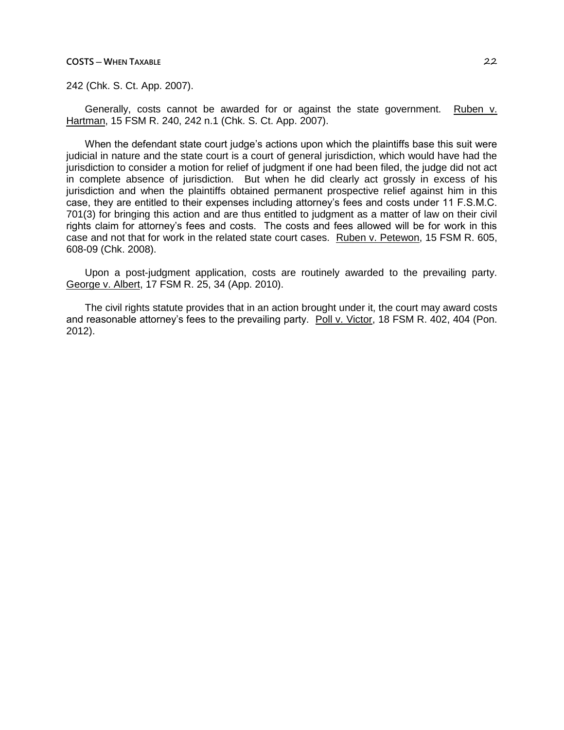### **COSTS ─ WHEN TAXABLE** 22

242 (Chk. S. Ct. App. 2007).

Generally, costs cannot be awarded for or against the state government. Ruben v. Hartman, 15 FSM R. 240, 242 n.1 (Chk. S. Ct. App. 2007).

When the defendant state court judge's actions upon which the plaintiffs base this suit were judicial in nature and the state court is a court of general jurisdiction, which would have had the jurisdiction to consider a motion for relief of judgment if one had been filed, the judge did not act in complete absence of jurisdiction. But when he did clearly act grossly in excess of his jurisdiction and when the plaintiffs obtained permanent prospective relief against him in this case, they are entitled to their expenses including attorney's fees and costs under 11 F.S.M.C. 701(3) for bringing this action and are thus entitled to judgment as a matter of law on their civil rights claim for attorney's fees and costs. The costs and fees allowed will be for work in this case and not that for work in the related state court cases. Ruben v. Petewon, 15 FSM R. 605, 608-09 (Chk. 2008).

Upon a post-judgment application, costs are routinely awarded to the prevailing party. George v. Albert, 17 FSM R. 25, 34 (App. 2010).

The civil rights statute provides that in an action brought under it, the court may award costs and reasonable attorney's fees to the prevailing party. Poll v. Victor, 18 FSM R. 402, 404 (Pon. 2012).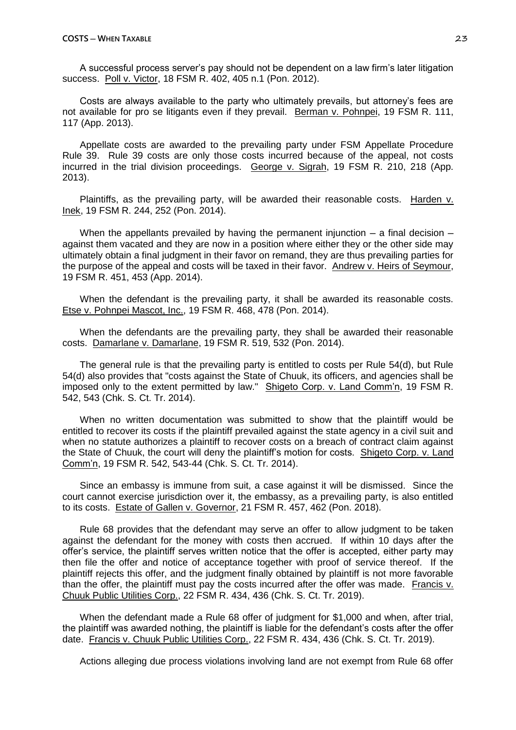A successful process server's pay should not be dependent on a law firm's later litigation success. Poll v. Victor, 18 FSM R. 402, 405 n.1 (Pon. 2012).

Costs are always available to the party who ultimately prevails, but attorney's fees are not available for pro se litigants even if they prevail. Berman v. Pohnpei, 19 FSM R. 111, 117 (App. 2013).

Appellate costs are awarded to the prevailing party under FSM Appellate Procedure Rule 39. Rule 39 costs are only those costs incurred because of the appeal, not costs incurred in the trial division proceedings. George v. Sigrah, 19 FSM R. 210, 218 (App. 2013).

Plaintiffs, as the prevailing party, will be awarded their reasonable costs. Harden v. Inek, 19 FSM R. 244, 252 (Pon. 2014).

When the appellants prevailed by having the permanent injunction  $-$  a final decision  $$ against them vacated and they are now in a position where either they or the other side may ultimately obtain a final judgment in their favor on remand, they are thus prevailing parties for the purpose of the appeal and costs will be taxed in their favor. Andrew v. Heirs of Seymour, 19 FSM R. 451, 453 (App. 2014).

When the defendant is the prevailing party, it shall be awarded its reasonable costs. Etse v. Pohnpei Mascot, Inc., 19 FSM R. 468, 478 (Pon. 2014).

When the defendants are the prevailing party, they shall be awarded their reasonable costs. Damarlane v. Damarlane, 19 FSM R. 519, 532 (Pon. 2014).

The general rule is that the prevailing party is entitled to costs per Rule 54(d), but Rule 54(d) also provides that "costs against the State of Chuuk, its officers, and agencies shall be imposed only to the extent permitted by law." Shigeto Corp. v. Land Comm'n, 19 FSM R. 542, 543 (Chk. S. Ct. Tr. 2014).

When no written documentation was submitted to show that the plaintiff would be entitled to recover its costs if the plaintiff prevailed against the state agency in a civil suit and when no statute authorizes a plaintiff to recover costs on a breach of contract claim against the State of Chuuk, the court will deny the plaintiff's motion for costs. Shigeto Corp. v. Land Comm'n, 19 FSM R. 542, 543-44 (Chk. S. Ct. Tr. 2014).

Since an embassy is immune from suit, a case against it will be dismissed. Since the court cannot exercise jurisdiction over it, the embassy, as a prevailing party, is also entitled to its costs. Estate of Gallen v. Governor, 21 FSM R. 457, 462 (Pon. 2018).

Rule 68 provides that the defendant may serve an offer to allow judgment to be taken against the defendant for the money with costs then accrued. If within 10 days after the offer's service, the plaintiff serves written notice that the offer is accepted, either party may then file the offer and notice of acceptance together with proof of service thereof. If the plaintiff rejects this offer, and the judgment finally obtained by plaintiff is not more favorable than the offer, the plaintiff must pay the costs incurred after the offer was made. Francis v. Chuuk Public Utilities Corp., 22 FSM R. 434, 436 (Chk. S. Ct. Tr. 2019).

When the defendant made a Rule 68 offer of judgment for \$1,000 and when, after trial, the plaintiff was awarded nothing, the plaintiff is liable for the defendant's costs after the offer date. Francis v. Chuuk Public Utilities Corp., 22 FSM R. 434, 436 (Chk. S. Ct. Tr. 2019).

Actions alleging due process violations involving land are not exempt from Rule 68 offer